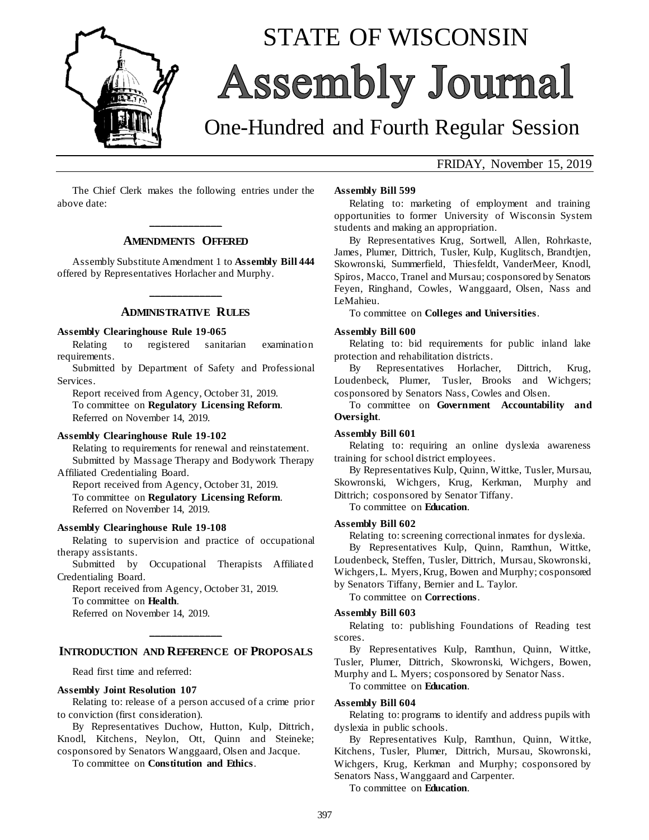

# STATE OF WISCONSIN Assembly Journal

## One-Hundred and Fourth Regular Session

## FRIDAY, November 15, 2019

The Chief Clerk makes the following entries under the above date:

## **\_\_\_\_\_\_\_\_\_\_\_\_\_ AMENDMENTS OFFERED**

Assembly Substitute Amendment 1 to **Assembly Bill 444** offered by Representatives Horlacher and Murphy.

## **\_\_\_\_\_\_\_\_\_\_\_\_\_ ADMINISTRATIVE RULES**

#### **Assembly Clearinghouse Rule 19-065**

Relating to registered sanitarian examination requirements.

Submitted by Department of Safety and Professional Services.

Report received from Agency, October 31, 2019. To committee on **Regulatory Licensing Reform**. Referred on November 14, 2019.

#### **Assembly Clearinghouse Rule 19-102**

Relating to requirements for renewal and reinstatement. Submitted by Massage Therapy and Bodywork Therapy Affiliated Credentialing Board.

Report received from Agency, October 31, 2019. To committee on **Regulatory Licensing Reform**. Referred on November 14, 2019.

#### **Assembly Clearinghouse Rule 19-108**

Relating to supervision and practice of occupational therapy assistants.

Submitted by Occupational Therapists Affiliated Credentialing Board.

Report received from Agency, October 31, 2019. To committee on **Health**. Referred on November 14, 2019.

## **\_\_\_\_\_\_\_\_\_\_\_\_\_ INTRODUCTION AND REFERENCE OF PROPOSALS**

Read first time and referred:

#### **Assembly Joint Resolution 107**

Relating to: release of a person accused of a crime prior to conviction (first consideration).

By Representatives Duchow, Hutton, Kulp, Dittrich, Knodl, Kitchens, Neylon, Ott, Quinn and Steineke; cosponsored by Senators Wanggaard, Olsen and Jacque.

To committee on **Constitution and Ethics**.

#### **Assembly Bill 599**

Relating to: marketing of employment and training opportunities to former University of Wisconsin System students and making an appropriation.

By Representatives Krug, Sortwell, Allen, Rohrkaste, James, Plumer, Dittrich, Tusler, Kulp, Kuglitsch, Brandtjen, Skowronski, Summerfield, Thiesfeldt, VanderMeer, Knodl, Spiros, Macco, Tranel and Mursau; cosponsored by Senators Feyen, Ringhand, Cowles, Wanggaard, Olsen, Nass and LeMahieu.

To committee on **Colleges and Universities**.

#### **Assembly Bill 600**

Relating to: bid requirements for public inland lake protection and rehabilitation districts.

By Representatives Horlacher, Dittrich, Krug, Loudenbeck, Plumer, Tusler, Brooks and Wichgers; cosponsored by Senators Nass, Cowles and Olsen.

To committee on **Government Accountability and Oversight**.

#### **Assembly Bill 601**

Relating to: requiring an online dyslexia awareness training for school district employees.

By Representatives Kulp, Quinn, Wittke, Tusler, Mursau, Skowronski, Wichgers, Krug, Kerkman, Murphy and Dittrich; cosponsored by Senator Tiffany.

To committee on **Education**.

#### **Assembly Bill 602**

Relating to: screening correctional inmates for dyslexia.

By Representatives Kulp, Quinn, Ramthun, Wittke, Loudenbeck, Steffen, Tusler, Dittrich, Mursau, Skowronski, Wichgers, L. Myers, Krug, Bowen and Murphy; cosponsored

by Senators Tiffany, Bernier and L. Taylor.

To committee on **Corrections**.

#### **Assembly Bill 603**

Relating to: publishing Foundations of Reading test scores.

By Representatives Kulp, Ramthun, Quinn, Wittke, Tusler, Plumer, Dittrich, Skowronski, Wichgers, Bowen, Murphy and L. Myers; cosponsored by Senator Nass.

To committee on **Education**.

#### **Assembly Bill 604**

Relating to: programs to identify and address pupils with dyslexia in public schools.

By Representatives Kulp, Ramthun, Quinn, Wittke, Kitchens, Tusler, Plumer, Dittrich, Mursau, Skowronski, Wichgers, Krug, Kerkman and Murphy; cosponsored by Senators Nass, Wanggaard and Carpenter.

To committee on **Education**.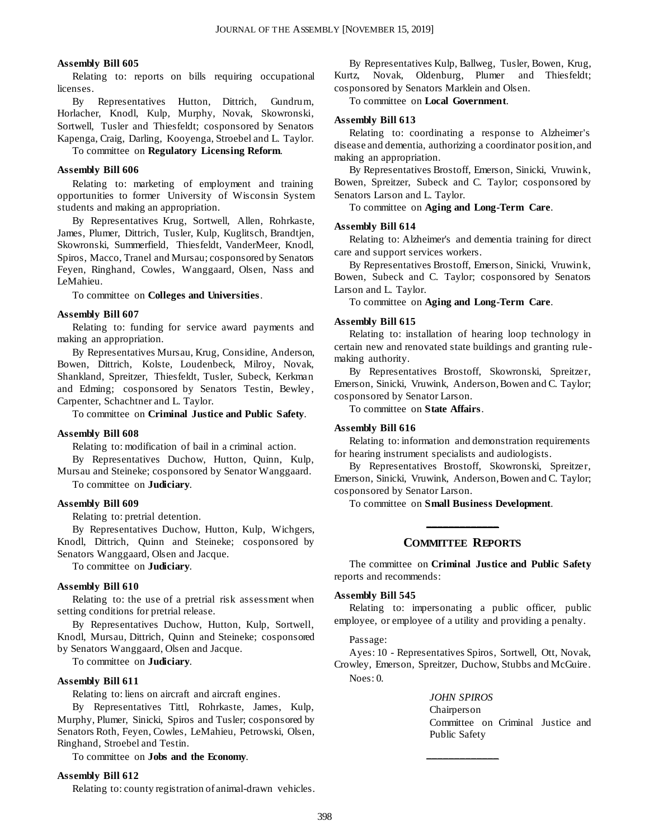#### **Assembly Bill 605**

Relating to: reports on bills requiring occupational licenses.

By Representatives Hutton, Dittrich, Gundrum, Horlacher, Knodl, Kulp, Murphy, Novak, Skowronski, Sortwell, Tusler and Thiesfeldt; cosponsored by Senators Kapenga, Craig, Darling, Kooyenga, Stroebel and L. Taylor.

To committee on **Regulatory Licensing Reform**.

#### **Assembly Bill 606**

Relating to: marketing of employment and training opportunities to former University of Wisconsin System students and making an appropriation.

By Representatives Krug, Sortwell, Allen, Rohrkaste, James, Plumer, Dittrich, Tusler, Kulp, Kuglitsch, Brandtjen, Skowronski, Summerfield, Thiesfeldt, VanderMeer, Knodl, Spiros, Macco, Tranel and Mursau; cosponsored by Senators Feyen, Ringhand, Cowles, Wanggaard, Olsen, Nass and LeMahieu.

To committee on **Colleges and Universities**.

#### **Assembly Bill 607**

Relating to: funding for service award payments and making an appropriation.

By Representatives Mursau, Krug, Considine, Anderson, Bowen, Dittrich, Kolste, Loudenbeck, Milroy, Novak, Shankland, Spreitzer, Thiesfeldt, Tusler, Subeck, Kerkman and Edming; cosponsored by Senators Testin, Bewley, Carpenter, Schachtner and L. Taylor.

To committee on **Criminal Justice and Public Safety**.

#### **Assembly Bill 608**

Relating to: modification of bail in a criminal action.

By Representatives Duchow, Hutton, Quinn, Kulp, Mursau and Steineke; cosponsored by Senator Wanggaard.

To committee on **Judiciary**.

#### **Assembly Bill 609**

Relating to: pretrial detention.

By Representatives Duchow, Hutton, Kulp, Wichgers, Knodl, Dittrich, Quinn and Steineke; cosponsored by Senators Wanggaard, Olsen and Jacque.

To committee on **Judiciary**.

#### **Assembly Bill 610**

Relating to: the use of a pretrial risk assessment when setting conditions for pretrial release.

By Representatives Duchow, Hutton, Kulp, Sortwell, Knodl, Mursau, Dittrich, Quinn and Steineke; cosponsored by Senators Wanggaard, Olsen and Jacque.

To committee on **Judiciary**.

#### **Assembly Bill 611**

Relating to: liens on aircraft and aircraft engines.

By Representatives Tittl, Rohrkaste, James, Kulp, Murphy, Plumer, Sinicki, Spiros and Tusler; cosponsored by Senators Roth, Feyen, Cowles, LeMahieu, Petrowski, Olsen, Ringhand, Stroebel and Testin.

To committee on **Jobs and the Economy**.

#### **Assembly Bill 612**

Relating to: county registration of animal-drawn vehicles.

By Representatives Kulp, Ballweg, Tusler, Bowen, Krug, Kurtz, Novak, Oldenburg, Plumer and Thiesfeldt; cosponsored by Senators Marklein and Olsen.

To committee on **Local Government**.

#### **Assembly Bill 613**

Relating to: coordinating a response to Alzheimer's disease and dementia, authorizing a coordinator position, and making an appropriation.

By Representatives Brostoff, Emerson, Sinicki, Vruwink, Bowen, Spreitzer, Subeck and C. Taylor; cosponsored by Senators Larson and L. Taylor.

To committee on **Aging and Long-Term Care**.

#### **Assembly Bill 614**

Relating to: Alzheimer's and dementia training for direct care and support services workers.

By Representatives Brostoff, Emerson, Sinicki, Vruwink, Bowen, Subeck and C. Taylor; cosponsored by Senators Larson and L. Taylor.

To committee on **Aging and Long-Term Care**.

#### **Assembly Bill 615**

Relating to: installation of hearing loop technology in certain new and renovated state buildings and granting rulemaking authority.

By Representatives Brostoff, Skowronski, Spreitzer, Emerson, Sinicki, Vruwink, Anderson, Bowen and C. Taylor; cosponsored by Senator Larson.

To committee on **State Affairs**.

#### **Assembly Bill 616**

Relating to: information and demonstration requirements for hearing instrument specialists and audiologists.

By Representatives Brostoff, Skowronski, Spreitzer, Emerson, Sinicki, Vruwink, Anderson, Bowen and C. Taylor; cosponsored by Senator Larson.

To committee on **Small Business Development**.

## **\_\_\_\_\_\_\_\_\_\_\_\_\_ COMMITTEE REPORTS**

The committee on **Criminal Justice and Public Safety** reports and recommends:

#### **Assembly Bill 545**

Relating to: impersonating a public officer, public employee, or employee of a utility and providing a penalty.

#### Passage:

Ayes: 10 - Representatives Spiros, Sortwell, Ott, Novak, Crowley, Emerson, Spreitzer, Duchow, Stubbs and McGuire. Noes: 0.

#### *JOHN SPIROS*

**\_\_\_\_\_\_\_\_\_\_\_\_\_**

Chairperson Committee on Criminal Justice and Public Safety